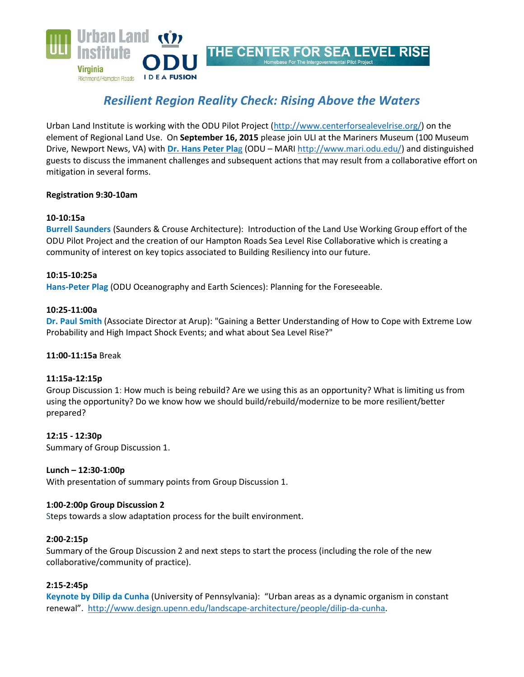

# *Resilient Region Reality Check: Rising Above the Waters*

Urban Land Institute is working with the ODU Pilot Project [\(http://www.centerforsealevelrise.org/\)](http://www.centerforsealevelrise.org/) on the element of Regional Land Use. On **September 16, 2015** please join ULI at the Mariners Museum (100 Museum Drive, Newport News, VA) with **[Dr. Hans Peter Pla](http://www.ccpo.odu.edu/Facstaff/faculty/plag.html)**g (ODU – MAR[I http://www.mari.odu.edu/\)](http://www.mari.odu.edu/) and distinguished guests to discuss the immanent challenges and subsequent actions that may result from a collaborative effort on mitigation in several forms.

## **Registration 9:30-10am**

# **10-10:15a**

**Burrell Saunders** (Saunders & Crouse Architecture): Introduction of the Land Use Working Group effort of the ODU Pilot Project and the creation of our Hampton Roads Sea Level Rise Collaborative which is creating a community of interest on key topics associated to Building Resiliency into our future.

## **10:15-10:25a**

**Hans-Peter Plag** (ODU Oceanography and Earth Sciences): Planning for the Foreseeable.

## **10:25-11:00a**

**Dr. Paul Smith** (Associate Director at Arup): "Gaining a Better Understanding of How to Cope with Extreme Low Probability and High Impact Shock Events; and what about Sea Level Rise?"

## **11:00-11:15a** Break

## **11:15a-12:15p**

Group Discussion 1: How much is being rebuild? Are we using this as an opportunity? What is limiting us from using the opportunity? Do we know how we should build/rebuild/modernize to be more resilient/better prepared?

## **12:15 - 12:30p**

Summary of Group Discussion 1.

## **Lunch – 12:30-1:00p**

With presentation of summary points from Group Discussion 1.

## **1:00-2:00p Group Discussion 2**

Steps towards a slow adaptation process for the built environment.

#### **2:00-2:15p**

Summary of the Group Discussion 2 and next steps to start the process (including the role of the new collaborative/community of practice).

## **2:15-2:45p**

**Keynote by Dilip da Cunha** (University of Pennsylvania): "Urban areas as a dynamic organism in constant renewal". [http://www.design.upenn.edu/landscape-architecture/people/dilip-da-cunha.](http://www.design.upenn.edu/landscape-architecture/people/dilip-da-cunha)